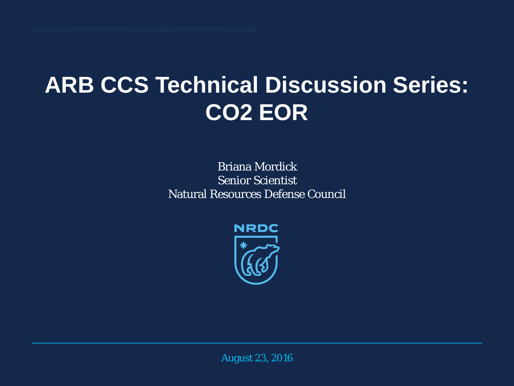#### **ARB CCS Technical Discussion Series: CO2 EOR**

Briana Mordick Senior Scientist Natural Resources Defense Council



August 23, 2016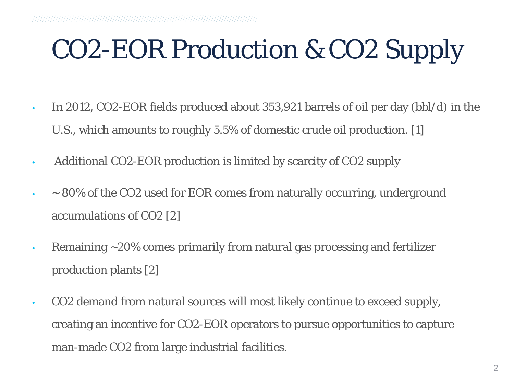# CO2-EOR Production & CO2 Supply

- In 2012, CO2-EOR fields produced about 353,921 barrels of oil per day (bbl/d) in the U.S., which amounts to roughly 5.5% of domestic crude oil production. [1]
- Additional CO2-EOR production is limited by scarcity of CO2 supply
- $\sim$  80% of the CO2 used for EOR comes from naturally occurring, underground accumulations of CO2 [2]
- Remaining ~20% comes primarily from natural gas processing and fertilizer production plants [2]
- CO2 demand from natural sources will most likely continue to exceed supply, creating an incentive for CO2-EOR operators to pursue opportunities to capture man-made CO2 from large industrial facilities.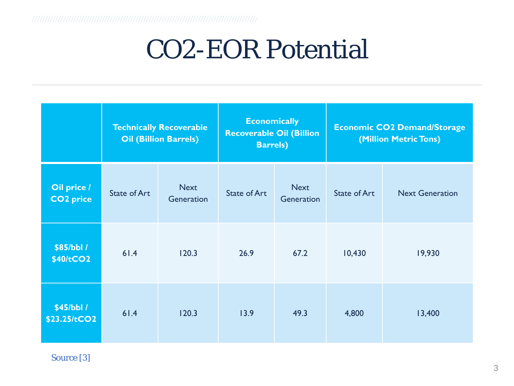#### CO2-EOR Potential

|                                 | <b>Technically Recoverable</b><br><b>Oil (Billion Barrels)</b> |                           | <b>Economically</b><br><b>Recoverable Oil (Billion</b><br><b>Barrels</b> ) |                           | <b>Economic CO2 Demand/Storage</b><br>(Million Metric Tons) |                        |
|---------------------------------|----------------------------------------------------------------|---------------------------|----------------------------------------------------------------------------|---------------------------|-------------------------------------------------------------|------------------------|
| Oil price /<br><b>CO2</b> price | <b>State of Art</b>                                            | <b>Next</b><br>Generation | <b>State of Art</b>                                                        | <b>Next</b><br>Generation | <b>State of Art</b>                                         | <b>Next Generation</b> |
| \$85/bbl /<br>\$40/tCO2         | 61.4                                                           | 120.3                     | 26.9                                                                       | 67.2                      | 10,430                                                      | 19,930                 |
| \$45/bbl /<br>\$23.25/tCO2      | 61.4                                                           | 120.3                     | 13.9                                                                       | 49.3                      | 4,800                                                       | 13,400                 |

Source [3]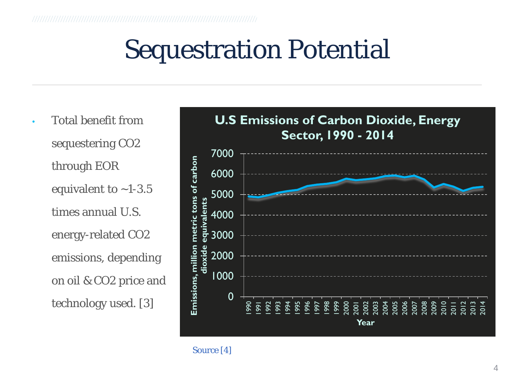#### Sequestration Potential

• Total benefit from sequestering CO2 through EOR equivalent to  $~1-3.5$ times annual U.S. energy-related CO2 emissions, depending on oil & CO2 price and technology used. [3]

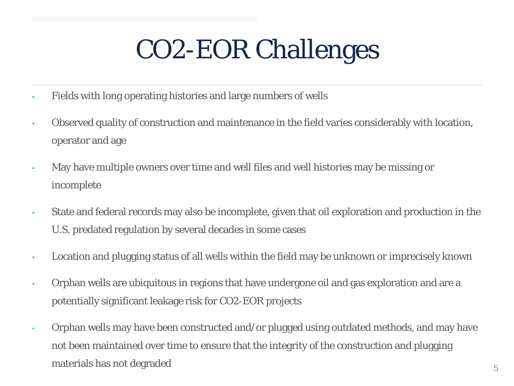# CO2-EOR Challenges

- Fields with long operating histories and large numbers of wells
- Observed quality of construction and maintenance in the field varies considerably with location, operator and age
- May have multiple owners over time and well files and well histories may be missing or incomplete
- State and federal records may also be incomplete, given that oil exploration and production in the U.S. predated regulation by several decades in some cases
- Location and plugging status of all wells within the field may be unknown or imprecisely known
- Orphan wells are ubiquitous in regions that have undergone oil and gas exploration and are a potentially significant leakage risk for CO2-EOR projects
- Orphan wells may have been constructed and/or plugged using outdated methods, and may have not been maintained over time to ensure that the integrity of the construction and plugging materials has not degraded  $5\,$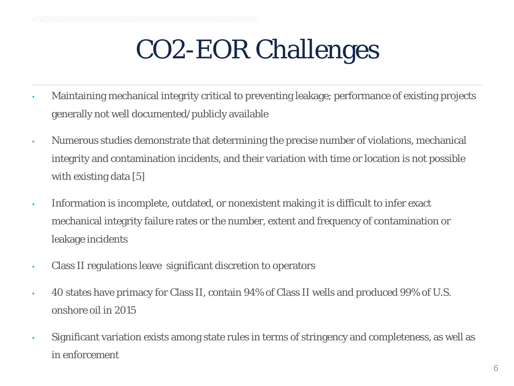## CO2-EOR Challenges

- Maintaining mechanical integrity critical to preventing leakage; performance of existing projects generally not well documented/publicly available
- Numerous studies demonstrate that determining the precise number of violations, mechanical integrity and contamination incidents, and their variation with time or location is not possible with existing data [5]
- Information is incomplete, outdated, or nonexistent making it is difficult to infer exact mechanical integrity failure rates or the number, extent and frequency of contamination or leakage incidents
- Class II regulations leave significant discretion to operators
- 40 states have primacy for Class II, contain 94% of Class II wells and produced 99% of U.S. onshore oil in 2015
- Significant variation exists among state rules in terms of stringency and completeness, as well as in enforcement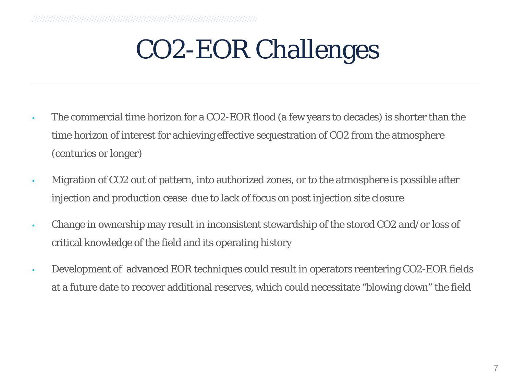# CO2-EOR Challenges

- The commercial time horizon for a CO2-EOR flood (a few years to decades) is shorter than the time horizon of interest for achieving effective sequestration of CO2 from the atmosphere (centuries or longer)
- Migration of CO2 out of pattern, into authorized zones, or to the atmosphere is possible after injection and production cease due to lack of focus on post injection site closure
- Change in ownership may result in inconsistent stewardship of the stored CO2 and/or loss of critical knowledge of the field and its operating history
- Development of advanced EOR techniques could result in operators reentering CO2-EOR fields at a future date to recover additional reserves, which could necessitate "blowing down" the field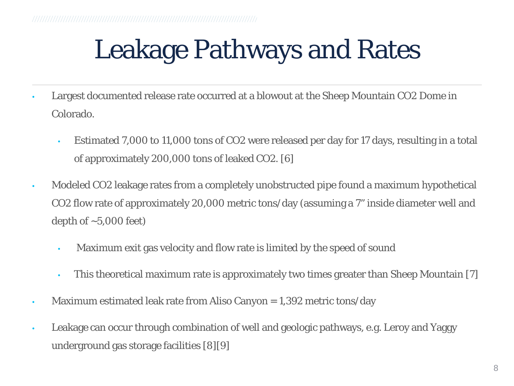# Leakage Pathways and Rates

- Largest documented release rate occurred at a blowout at the Sheep Mountain CO2 Dome in Colorado.
	- Estimated 7,000 to 11,000 tons of CO2 were released per day for 17 days, resulting in a total of approximately 200,000 tons of leaked CO2. [6]
- Modeled CO2 leakage rates from a completely unobstructed pipe found a maximum hypothetical CO2 flow rate of approximately 20,000 metric tons/day (assuming a 7" inside diameter well and depth of  $\sim$  5,000 feet)
	- Maximum exit gas velocity and flow rate is limited by the speed of sound
	- This theoretical maximum rate is approximately two times greater than Sheep Mountain [7]
- Maximum estimated leak rate from Aliso Canyon = 1,392 metric tons/day
- Leakage can occur through combination of well and geologic pathways, e.g. Leroy and Yaggy underground gas storage facilities [8][9]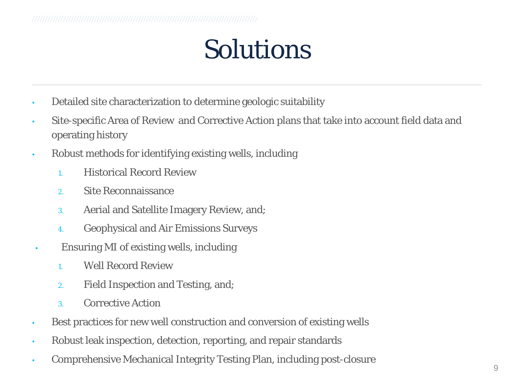#### Solutions

- Detailed site characterization to determine geologic suitability
- Site-specific Area of Review and Corrective Action plans that take into account field data and operating history
- Robust methods for identifying existing wells, including
	- 1. Historical Record Review
	- 2. Site Reconnaissance
	- 3. Aerial and Satellite Imagery Review, and;
	- 4. Geophysical and Air Emissions Surveys
- Ensuring MI of existing wells, including
	- 1. Well Record Review
	- 2. Field Inspection and Testing, and;
	- 3. Corrective Action
- Best practices for new well construction and conversion of existing wells
- Robust leak inspection, detection, reporting, and repair standards
- Comprehensive Mechanical Integrity Testing Plan, including post-closure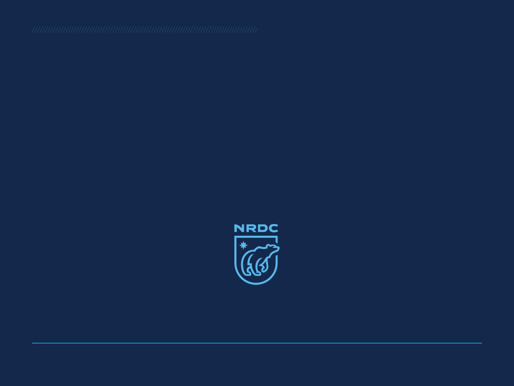